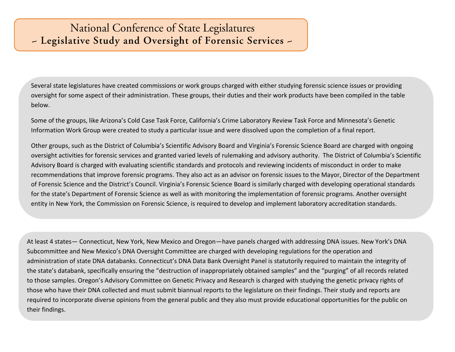## National Conference of State Legislatures - Legislative Study and Oversight of Forensic Services -

Several state legislatures have created commissions or work groups charged with either studying forensic science issues or providing oversight for some aspect of their administration. These groups, their duties and their work products have been compiled in the table below.

Some of the groups, like Arizona's Cold Case Task Force, California's Crime Laboratory Review Task Force and Minnesota's Genetic Information Work Group were created to study a particular issue and were dissolved upon the completion of a final report.

Other groups, such as the District of Columbia's Scientific Advisory Board and Virginia's Forensic Science Board are charged with ongoing oversight activities for forensic services and granted varied levels of rulemaking and advisory authority. The District of Columbia's Scientific Advisory Board is charged with evaluating scientific standards and protocols and reviewing incidents of misconduct in order to make recommendations that improve forensic programs. They also act as an advisor on forensic issues to the Mayor, Director of the Department of Forensic Science and the District's Council. Virginia's Forensic Science Board is similarly charged with developing operational standards for the state's Department of Forensic Science as well as with monitoring the implementation of forensic programs. Another oversight entity in New York, the Commission on Forensic Science, is required to develop and implement laboratory accreditation standards.

At least 4 states— Connecticut, New York, New Mexico and Oregon—have panels charged with addressing DNA issues. New York's DNA Subcommittee and New Mexico's DNA Oversight Committee are charged with developing regulations for the operation and administration of state DNA databanks. Connecticut's DNA Data Bank Oversight Panel is statutorily required to maintain the integrity of the state's databank, specifically ensuring the "destruction of inappropriately obtained samples" and the "purging" of all records related to those samples. Oregon's Advisory Committee on Genetic Privacy and Research is charged with studying the genetic privacy rights of those who have their DNA collected and must submit biannual reports to the legislature on their findings. Their study and reports are required to incorporate diverse opinions from the general public and they also must provide educational opportunities for the public on their findings.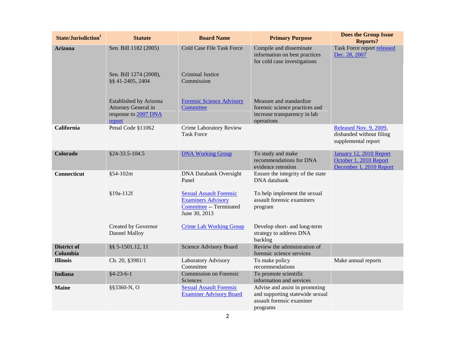| State/Jurisdiction <sup>1</sup> | <b>Statute</b>                                                                  | <b>Board Name</b>                                                                                       | <b>Primary Purpose</b>                                                                                     | <b>Does the Group Issue</b><br><b>Reports?</b>                               |
|---------------------------------|---------------------------------------------------------------------------------|---------------------------------------------------------------------------------------------------------|------------------------------------------------------------------------------------------------------------|------------------------------------------------------------------------------|
| <b>Arizona</b>                  | Sen. Bill 1182 (2005)                                                           | <b>Cold Case File Task Force</b>                                                                        | Compile and disseminate<br>information on best practices<br>for cold case investigations                   | Task Force report released<br>Dec. 28, 2007                                  |
|                                 | Sen. Bill 1274 (2008),<br>§§ 41-2405, 2404                                      | <b>Criminal Justice</b><br>Commission                                                                   |                                                                                                            |                                                                              |
|                                 | Established by Arizona<br>Attorney General in<br>response to 2007 DNA<br>report | <b>Forensic Science Advisory</b><br>Committee                                                           | Measure and standardize<br>forensic science practices and<br>increase transparency in lab<br>operations    |                                                                              |
| California                      | Penal Code §11062                                                               | Crime Laboratory Review<br><b>Task Force</b>                                                            |                                                                                                            | Released Nov. 9, 2009,<br>disbanded without filing<br>supplemental report    |
| Colorado                        | \$24-33.5-104.5                                                                 | <b>DNA Working Group</b>                                                                                | To study and make<br>recommendations for DNA<br>evidence retention                                         | January 12, 2010 Report<br>October 1, 2010 Report<br>December 1, 2010 Report |
| Connecticut                     | §54-102m                                                                        | <b>DNA Databank Oversight</b><br>Panel                                                                  | Ensure the integrity of the state<br>DNA databank                                                          |                                                                              |
|                                 | §19a-112f                                                                       | <b>Sexual Assault Forensic</b><br><b>Examiners Advisory</b><br>Committee -- Terminated<br>June 30, 2013 | To help implement the sexual<br>assault forensic examiners<br>program                                      |                                                                              |
|                                 | Created by Governor<br>Dannel Malloy                                            | <b>Crime Lab Working Group</b>                                                                          | Develop short- and long-term<br>strategy to address DNA<br>backlog                                         |                                                                              |
| <b>District of</b><br>Columbia  | §§ 5-1501.12, 11                                                                | Science Advisory Board                                                                                  | Review the administration of<br>forensic science services                                                  |                                                                              |
| <b>Illinois</b>                 | Ch. 20, §3981/1                                                                 | Laboratory Advisory<br>Committee                                                                        | To make policy<br>recommendations                                                                          | Make annual reports                                                          |
| Indiana                         | $§4-23-6-1$                                                                     | Commission on Forensic<br>Sciences                                                                      | To promote scientific<br>information and services                                                          |                                                                              |
| <b>Maine</b>                    | §§3360-N, O                                                                     | <b>Sexual Assault Forensic</b><br><b>Examiner Advisory Board</b>                                        | Advise and assist in promoting<br>and supporting statewide sexual<br>assault forensic examiner<br>programs |                                                                              |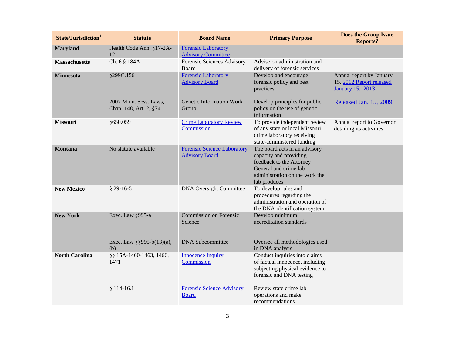| State/Jurisdiction <sup>1</sup> | <b>Statute</b>                                   | <b>Board Name</b>                                           | <b>Primary Purpose</b>                                                                                                                                         | <b>Does the Group Issue</b><br><b>Reports?</b>                                  |
|---------------------------------|--------------------------------------------------|-------------------------------------------------------------|----------------------------------------------------------------------------------------------------------------------------------------------------------------|---------------------------------------------------------------------------------|
| <b>Maryland</b>                 | Health Code Ann. §17-2A-<br>12                   | <b>Forensic Laboratory</b><br><b>Advisory Committee</b>     |                                                                                                                                                                |                                                                                 |
| <b>Massachusetts</b>            | Ch. 6 § 184A                                     | Forensic Sciences Advisory<br><b>Board</b>                  | Advise on administration and<br>delivery of forensic services                                                                                                  |                                                                                 |
| <b>Minnesota</b>                | §299C.156                                        | <b>Forensic Laboratory</b><br><b>Advisory Board</b>         | Develop and encourage<br>forensic policy and best<br>practices                                                                                                 | Annual report by January<br>15. 2012 Report released<br><b>January 15, 2013</b> |
|                                 | 2007 Minn. Sess. Laws,<br>Chap. 148, Art. 2, §74 | Genetic Information Work<br>Group                           | Develop principles for public<br>policy on the use of genetic<br>information                                                                                   | Released Jan. 15, 2009                                                          |
| <b>Missouri</b>                 | §650.059                                         | <b>Crime Laboratory Review</b><br>Commission                | To provide independent review<br>of any state or local Missouri<br>crime laboratory receiving<br>state-administered funding                                    | Annual report to Governor<br>detailing its activities                           |
| <b>Montana</b>                  | No statute available                             | <b>Forensic Science Laboratory</b><br><b>Advisory Board</b> | The board acts in an advisory<br>capacity and providing<br>feedback to the Attorney<br>General and crime lab<br>administration on the work the<br>lab produces |                                                                                 |
| <b>New Mexico</b>               | $$29-16-5$                                       | <b>DNA Oversight Committee</b>                              | To develop rules and<br>procedures regarding the<br>administration and operation of<br>the DNA identification system                                           |                                                                                 |
| <b>New York</b>                 | Exec. Law §995-a                                 | Commission on Forensic<br>Science                           | Develop minimum<br>accreditation standards                                                                                                                     |                                                                                 |
|                                 | Exec. Law §§995-b(13)(a),<br>(b)                 | <b>DNA</b> Subcommittee                                     | Oversee all methodologies used<br>in DNA analysis                                                                                                              |                                                                                 |
| <b>North Carolina</b>           | §§ 15A-1460-1463, 1466,<br>1471                  | <b>Innocence Inquiry</b><br>Commission                      | Conduct inquiries into claims<br>of factual innocence, including<br>subjecting physical evidence to<br>forensic and DNA testing                                |                                                                                 |
|                                 | $$114-16.1$                                      | <b>Forensic Science Advisory</b><br><b>Board</b>            | Review state crime lab<br>operations and make<br>recommendations                                                                                               |                                                                                 |